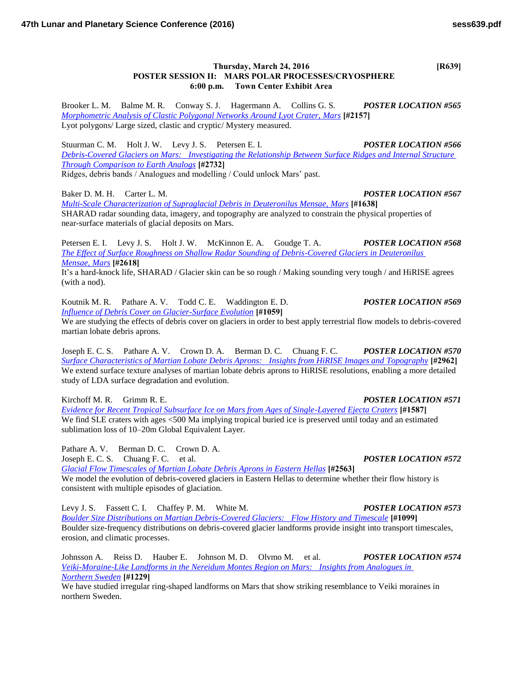## **Thursday, March 24, 2016 [R639] POSTER SESSION II: MARS POLAR PROCESSES/CRYOSPHERE 6:00 p.m. Town Center Exhibit Area**

Brooker L. M. Balme M. R. Conway S. J. Hagermann A. Collins G. S. *POSTER LOCATION #565 [Morphometric Analysis of Clastic Polygonal Networks Around Lyot Crater, Mars](http://www.hou.usra.edu/meetings/lpsc2016/pdf/2157.pdf)* **[#2157]** Lyot polygons/ Large sized, clastic and cryptic/ Mystery measured.

Stuurman C. M. Holt J. W. Levy J. S. Petersen E. I. *POSTER LOCATION #566 [Debris-Covered Glaciers on Mars: Investigating the Relationship Between Surface Ridges and Internal Structure](http://www.hou.usra.edu/meetings/lpsc2016/pdf/2732.pdf)  [Through Comparison to Earth Analogs](http://www.hou.usra.edu/meetings/lpsc2016/pdf/2732.pdf)* **[#2732]** Ridges, debris bands / Analogues and modelling / Could unlock Mars' past.

Baker D. M. H. Carter L. M. *POSTER LOCATION #567*

*[Multi-Scale Characterization of Supraglacial Debris in Deuteronilus Mensae, Mars](http://www.hou.usra.edu/meetings/lpsc2016/pdf/1638.pdf)* **[#1638]** SHARAD radar sounding data, imagery, and topography are analyzed to constrain the physical properties of near-surface materials of glacial deposits on Mars.

Petersen E. I. Levy J. S. Holt J. W. McKinnon E. A. Goudge T. A. *POSTER LOCATION #568 [The Effect of Surface Roughness on Shallow Radar Sounding of Debris-Covered Glaciers in Deuteronilus](http://www.hou.usra.edu/meetings/lpsc2016/pdf/2618.pdf)  [Mensae, Mars](http://www.hou.usra.edu/meetings/lpsc2016/pdf/2618.pdf)* **[#2618]**

It's a hard-knock life, SHARAD / Glacier skin can be so rough / Making sounding very tough / and HiRISE agrees (with a nod).

Koutnik M. R. Pathare A. V. Todd C. E. Waddington E. D. *POSTER LOCATION #569 [Influence of Debris Cover on Glacier-Surface Evolution](http://www.hou.usra.edu/meetings/lpsc2016/pdf/1059.pdf)* **[#1059]**

We are studying the effects of debris cover on glaciers in order to best apply terrestrial flow models to debris-covered martian lobate debris aprons.

Joseph E. C. S. Pathare A. V. Crown D. A. Berman D. C. Chuang F. C. *POSTER LOCATION #570 [Surface Characteristics of Martian Lobate Debris Aprons: Insights from HiRISE Images and Topography](http://www.hou.usra.edu/meetings/lpsc2016/pdf/2962.pdf)* **[#2962]** We extend surface texture analyses of martian lobate debris aprons to HiRISE resolutions, enabling a more detailed study of LDA surface degradation and evolution.

Kirchoff M. R. Grimm R. E. *POSTER LOCATION #571* 

*[Evidence for Recent Tropical Subsurface Ice on Mars from Ages of Single-Layered Ejecta Craters](http://www.hou.usra.edu/meetings/lpsc2016/pdf/1587.pdf)* **[#1587]** We find SLE craters with ages <500 Ma implying tropical buried ice is preserved until today and an estimated sublimation loss of 10–20m Global Equivalent Layer.

Pathare A. V. Berman D. C. Crown D. A. Joseph E. C. S. Chuang F. C. et al. *POSTER LOCATION #572 [Glacial Flow Timescales of Martian Lobate Debris Aprons in Eastern Hellas](http://www.hou.usra.edu/meetings/lpsc2016/pdf/2563.pdf)* **[#2563]** We model the evolution of debris-covered glaciers in Eastern Hellas to determine whether their flow history is consistent with multiple episodes of glaciation.

Levy J. S. Fassett C. I. Chaffey P. M. White M. *POSTER LOCATION #573 [Boulder Size Distributions on Martian Debris-Covered Glaciers: Flow History and Timescale](http://www.hou.usra.edu/meetings/lpsc2016/pdf/1099.pdf)* **[#1099]** Boulder size-frequency distributions on debris-covered glacier landforms provide insight into transport timescales, erosion, and climatic processes.

Johnsson A. Reiss D. Hauber E. Johnson M. D. Olvmo M. et al. *POSTER LOCATION #574 [Veiki-Moraine-Like Landforms in the Nereidum Montes Region on Mars: Insights from Analogues in](http://www.hou.usra.edu/meetings/lpsc2016/pdf/1229.pdf)  [Northern Sweden](http://www.hou.usra.edu/meetings/lpsc2016/pdf/1229.pdf)* **[#1229]**

We have studied irregular ring-shaped landforms on Mars that show striking resemblance to Veiki moraines in northern Sweden.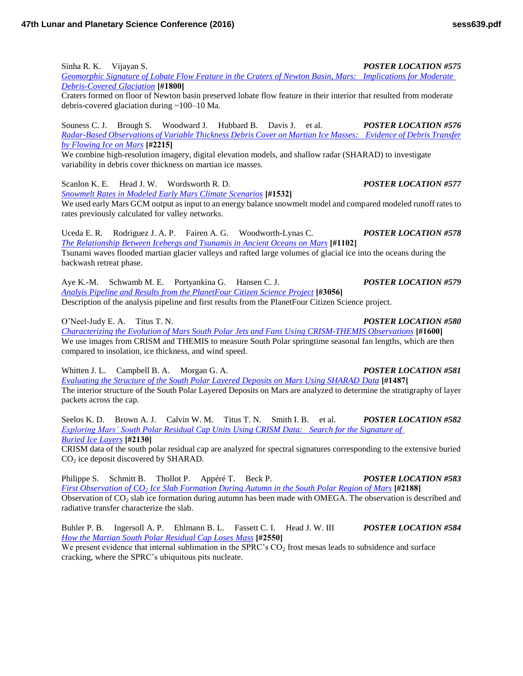Sinha R. K. Vijayan S. *POSTER LOCATION #575*

*[Geomorphic Signature of Lobate Flow Feature in the Craters of Newton Basin, Mars: Implications for Moderate](http://www.hou.usra.edu/meetings/lpsc2016/pdf/1800.pdf)  [Debris-Covered Glaciation](http://www.hou.usra.edu/meetings/lpsc2016/pdf/1800.pdf)* **[#1800]**

Craters formed on floor of Newton basin preserved lobate flow feature in their interior that resulted from moderate debris-covered glaciation during ~100–10 Ma.

Souness C. J. Brough S. Woodward J. Hubbard B. Davis J. et al. *POSTER LOCATION #576 [Radar-Based Observations of Variable Thickness Debris Cover on Martian Ice Masses: Evidence of Debris Transfer](http://www.hou.usra.edu/meetings/lpsc2016/pdf/2215.pdf)  [by Flowing Ice on Mars](http://www.hou.usra.edu/meetings/lpsc2016/pdf/2215.pdf)* **[#2215]**

We combine high-resolution imagery, digital elevation models, and shallow radar (SHARAD) to investigate variability in debris cover thickness on martian ice masses.

Scanlon K. E. Head J. W. Wordsworth R. D. *POSTER LOCATION #577*

*[Snowmelt Rates in Modeled Early Mars Climate Scenarios](http://www.hou.usra.edu/meetings/lpsc2016/pdf/1532.pdf)* **[#1532]** We used early Mars GCM output as input to an energy balance snowmelt model and compared modeled runoff rates to rates previously calculated for valley networks.

Uceda E. R. Rodriguez J. A. P. Fairen A. G. Woodworth-Lynas C. *POSTER LOCATION #578 [The Relationship Between Icebergs and Tsunamis in Ancient Oceans on Mars](http://www.hou.usra.edu/meetings/lpsc2016/pdf/1102.pdf)* **[#1102]** Tsunami waves flooded martian glacier valleys and rafted large volumes of glacial ice into the oceans during the backwash retreat phase.

Aye K.-M. Schwamb M. E. Portyankina G. Hansen C. J. *POSTER LOCATION #579 [Analyis Pipeline and Results from the PlanetFour Citizen Science Project](http://www.hou.usra.edu/meetings/lpsc2016/pdf/3056.pdf)* **[#3056]** Description of the analysis pipeline and first results from the PlanetFour Citizen Science project.

O'Neel-Judy E. A. Titus T. N. *POSTER LOCATION #580*

*[Characterizing the Evolution of Mars South Polar Jets and Fans Using CRISM-THEMIS Observations](http://www.hou.usra.edu/meetings/lpsc2016/pdf/1600.pdf)* **[#1600]** We use images from CRISM and THEMIS to measure South Polar springtime seasonal fan lengths, which are then compared to insolation, ice thickness, and wind speed.

Whitten J. L. Campbell B. A. Morgan G. A. *POSTER LOCATION #581* 

*[Evaluating the Structure of the South Polar Layered Deposits on Mars Using SHARAD Data](http://www.hou.usra.edu/meetings/lpsc2016/pdf/1487.pdf)* **[#1487]** The interior structure of the South Polar Layered Deposits on Mars are analyzed to determine the stratigraphy of layer packets across the cap.

Seelos K. D. Brown A. J. Calvin W. M. Titus T. N. Smith I. B. et al. *POSTER LOCATION #582 [Exploring Mars' South Polar Residual Cap Units Using CRISM Data: Search for the Signature of](http://www.hou.usra.edu/meetings/lpsc2016/pdf/2130.pdf)  [Buried Ice Layers](http://www.hou.usra.edu/meetings/lpsc2016/pdf/2130.pdf)* **[#2130]**

CRISM data of the south polar residual cap are analyzed for spectral signatures corresponding to the extensive buried  $CO<sub>2</sub>$  ice deposit discovered by SHARAD.

Philippe S. Schmitt B. Thollot P. Appéré T. Beck P. *POSTER LOCATION #583 First Observation of CO2 [Ice Slab Formation During Autumn in the South Polar Region of Mars](http://www.hou.usra.edu/meetings/lpsc2016/pdf/2188.pdf)* **[#2188]** Observation of  $CO<sub>2</sub>$  slab ice formation during autumn has been made with OMEGA. The observation is described and radiative transfer characterize the slab.

Buhler P. B. Ingersoll A. P. Ehlmann B. L. Fassett C. I. Head J. W. III *POSTER LOCATION #584 [How the Martian South Polar Residual Cap Loses Mass](http://www.hou.usra.edu/meetings/lpsc2016/pdf/2550.pdf)* **[#2550]**

We present evidence that internal sublimation in the SPRC's  $CO<sub>2</sub>$  frost mesas leads to subsidence and surface cracking, where the SPRC's ubiquitous pits nucleate.